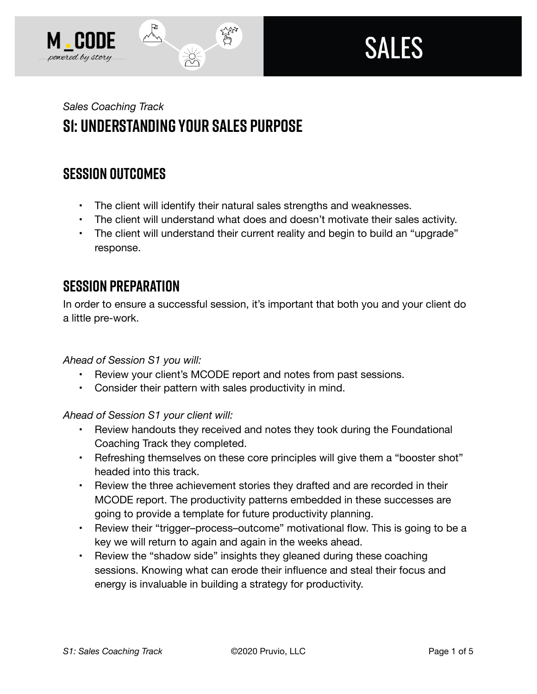



# *Sales Coaching Track*  **S1: Understanding Your Sales Purpose**

# **SESSION OUTCOMES**

• The client will identify their natural sales strengths and weaknesses.

なご

- The client will understand what does and doesn't motivate their sales activity.
- The client will understand their current reality and begin to build an "upgrade" response.

## **SESSION PREPARATION**

In order to ensure a successful session, it's important that both you and your client do a little pre-work.

*Ahead of Session S1 you will:* 

- Review your client's MCODE report and notes from past sessions.
- Consider their pattern with sales productivity in mind.

*Ahead of Session S1 your client will:* 

- Review handouts they received and notes they took during the Foundational Coaching Track they completed.
- Refreshing themselves on these core principles will give them a "booster shot" headed into this track.
- Review the three achievement stories they drafted and are recorded in their MCODE report. The productivity patterns embedded in these successes are going to provide a template for future productivity planning.
- Review their "trigger-process-outcome" motivational flow. This is going to be a key we will return to again and again in the weeks ahead.
- Review the "shadow side" insights they gleaned during these coaching sessions. Knowing what can erode their influence and steal their focus and energy is invaluable in building a strategy for productivity.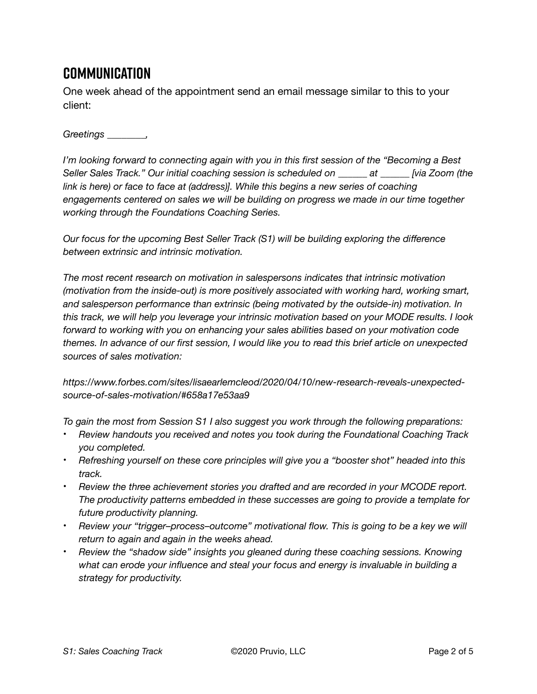# **Communication**

One week ahead of the appointment send an email message similar to this to your client:

*Greetings \_\_\_\_\_\_\_\_,* 

*I'm looking forward to connecting again with you in this first session of the "Becoming a Best Seller Sales Track." Our initial coaching session is scheduled on \_\_\_\_\_\_ at \_\_\_\_\_\_ [via Zoom (the*  link is here) or face to face at (address)]. While this begins a new series of coaching *engagements centered on sales we will be building on progress we made in our time together working through the Foundations Coaching Series.* 

*Our focus for the upcoming Best Seller Track (S1) will be building exploring the difference between extrinsic and intrinsic motivation.* 

*The most recent research on motivation in salespersons indicates that intrinsic motivation (motivation from the inside-out) is more positively associated with working hard, working smart, and salesperson performance than extrinsic (being motivated by the outside-in) motivation. In this track, we will help you leverage your intrinsic motivation based on your MODE results. I look forward to working with you on enhancing your sales abilities based on your motivation code themes. In advance of our first session, I would like you to read this brief article on unexpected sources of sales motivation:* 

*https://www.forbes.com/sites/lisaearlemcleod/2020/04/10/new-research-reveals-unexpectedsource-of-sales-motivation/#658a17e53aa9* 

*To gain the most from Session S1 I also suggest you work through the following preparations:* 

- *Review handouts you received and notes you took during the Foundational Coaching Track you completed.*
- *Refreshing yourself on these core principles will give you a "booster shot" headed into this track.*
- *Review the three achievement stories you drafted and are recorded in your MCODE report. The productivity patterns embedded in these successes are going to provide a template for future productivity planning.*
- *Review your "trigger–process–outcome" motivational flow. This is going to be a key we will return to again and again in the weeks ahead.*
- *Review the "shadow side" insights you gleaned during these coaching sessions. Knowing what can erode your influence and steal your focus and energy is invaluable in building a strategy for productivity.*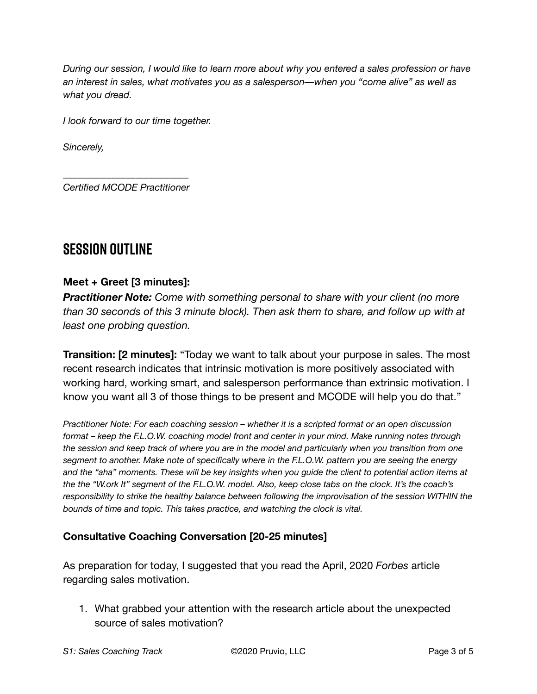*During our session, I would like to learn more about why you entered a sales profession or have an interest in sales, what motivates you as a salesperson––when you "come alive" as well as what you dread.* 

*I look forward to our time together.* 

*Sincerely,* 

*\_\_\_\_\_\_\_\_\_\_\_\_\_\_\_\_\_\_\_\_\_\_\_\_\_\_ Certified MCODE Practitioner*

### **SESSION OUTLINE**

#### **Meet + Greet [3 minutes]:**

*Practitioner Note: Come with something personal to share with your client (no more than 30 seconds of this 3 minute block). Then ask them to share, and follow up with at least one probing question.* 

**Transition: [2 minutes]:** "Today we want to talk about your purpose in sales. The most recent research indicates that intrinsic motivation is more positively associated with working hard, working smart, and salesperson performance than extrinsic motivation. I know you want all 3 of those things to be present and MCODE will help you do that."

*Practitioner Note: For each coaching session – whether it is a scripted format or an open discussion format – keep the F.L.O.W. coaching model front and center in your mind. Make running notes through the session and keep track of where you are in the model and particularly when you transition from one segment to another. Make note of specifically where in the F.L.O.W. pattern you are seeing the energy and the "aha" moments. These will be key insights when you guide the client to potential action items at the the "W.ork It" segment of the F.L.O.W. model. Also, keep close tabs on the clock. It's the coach's responsibility to strike the healthy balance between following the improvisation of the session WITHIN the bounds of time and topic. This takes practice, and watching the clock is vital.*

#### **Consultative Coaching Conversation [20-25 minutes]**

As preparation for today, I suggested that you read the April, 2020 *Forbes* article regarding sales motivation.

1. What grabbed your attention with the research article about the unexpected source of sales motivation?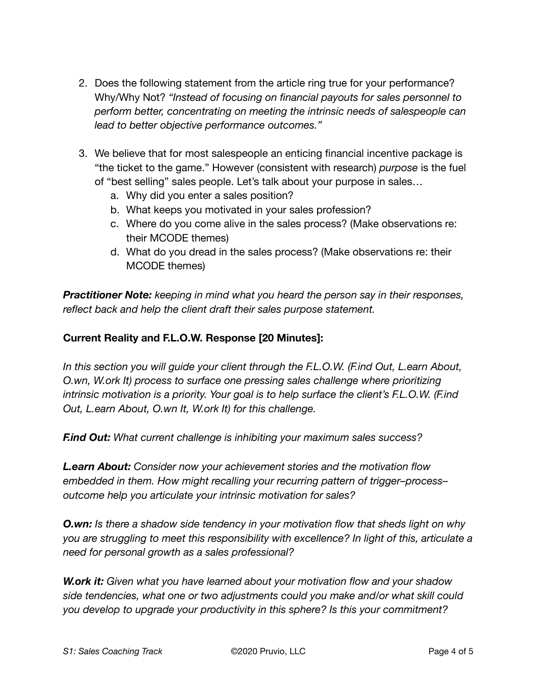- 2. Does the following statement from the article ring true for your performance? Why/Why Not? *"Instead of focusing on financial payouts for sales personnel to perform better, concentrating on meeting the intrinsic needs of salespeople can lead to better objective performance outcomes."*
- 3. We believe that for most salespeople an enticing financial incentive package is "the ticket to the game." However (consistent with research) *purpose* is the fuel of "best selling" sales people. Let's talk about your purpose in sales…
	- a. Why did you enter a sales position?
	- b. What keeps you motivated in your sales profession?
	- c. Where do you come alive in the sales process? (Make observations re: their MCODE themes)
	- d. What do you dread in the sales process? (Make observations re: their MCODE themes)

*Practitioner Note: keeping in mind what you heard the person say in their responses, reflect back and help the client draft their sales purpose statement.* 

#### **Current Reality and F.L.O.W. Response [20 Minutes]:**

*In this section you will guide your client through the F.L.O.W. (F.ind Out, L.earn About, O.wn, W.ork It) process to surface one pressing sales challenge where prioritizing intrinsic motivation is a priority. Your goal is to help surface the client's F.L.O.W. (F.ind Out, L.earn About, O.wn It, W.ork It) for this challenge.* 

*F.ind Out: What current challenge is inhibiting your maximum sales success?* 

*L.earn About: Consider now your achievement stories and the motivation flow embedded in them. How might recalling your recurring pattern of trigger–process– outcome help you articulate your intrinsic motivation for sales?* 

*O.wn: Is there a shadow side tendency in your motivation flow that sheds light on why you are struggling to meet this responsibility with excellence? In light of this, articulate a need for personal growth as a sales professional?* 

*W.ork it: Given what you have learned about your motivation flow and your shadow side tendencies, what one or two adjustments could you make and/or what skill could you develop to upgrade your productivity in this sphere? Is this your commitment?*